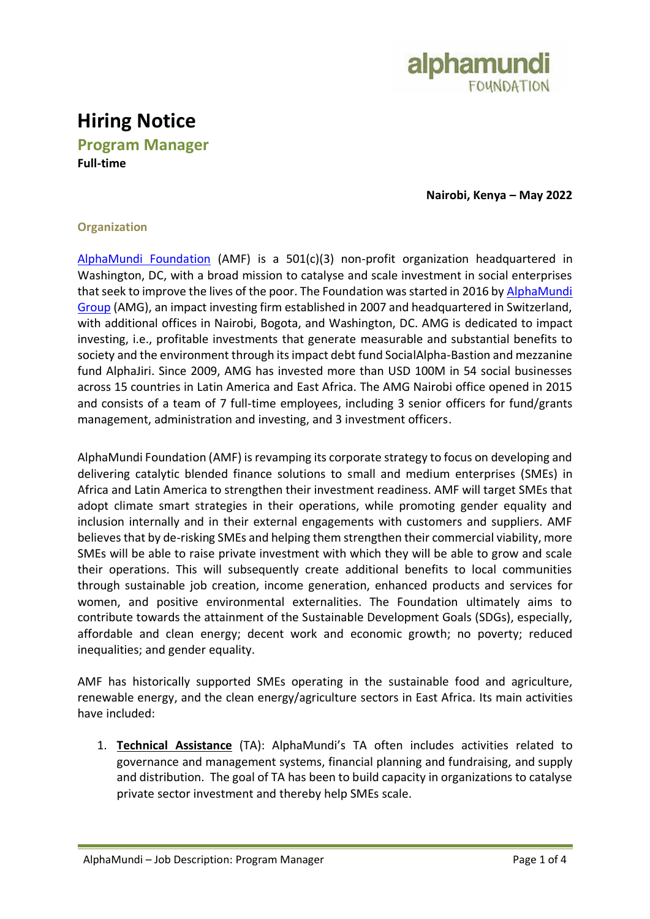

# **Hiring Notice**

**Program Manager Full-time**

**Nairobi, Kenya – May 2022**

## **Organization**

[AlphaMundi Foundation](http://www.alphamundifoundation.org/) (AMF) is a 501(c)(3) non-profit organization headquartered in Washington, DC, with a broad mission to catalyse and scale investment in social enterprises that seek to improve the lives of the poor. The Foundation was started in 2016 by AlphaMundi [Group](http://www.alphamundi.ch/) (AMG), an impact investing firm established in 2007 and headquartered in Switzerland, with additional offices in Nairobi, Bogota, and Washington, DC. AMG is dedicated to impact investing, i.e., profitable investments that generate measurable and substantial benefits to society and the environment through its impact debt fund SocialAlpha-Bastion and mezzanine fund AlphaJiri. Since 2009, AMG has invested more than USD 100M in 54 social businesses across 15 countries in Latin America and East Africa. The AMG Nairobi office opened in 2015 and consists of a team of 7 full-time employees, including 3 senior officers for fund/grants management, administration and investing, and 3 investment officers.

AlphaMundi Foundation (AMF) is revamping its corporate strategy to focus on developing and delivering catalytic blended finance solutions to small and medium enterprises (SMEs) in Africa and Latin America to strengthen their investment readiness. AMF will target SMEs that adopt climate smart strategies in their operations, while promoting gender equality and inclusion internally and in their external engagements with customers and suppliers. AMF believes that by de-risking SMEs and helping them strengthen their commercial viability, more SMEs will be able to raise private investment with which they will be able to grow and scale their operations. This will subsequently create additional benefits to local communities through sustainable job creation, income generation, enhanced products and services for women, and positive environmental externalities. The Foundation ultimately aims to contribute towards the attainment of the Sustainable Development Goals (SDGs), especially, affordable and clean energy; decent work and economic growth; no poverty; reduced inequalities; and gender equality.

AMF has historically supported SMEs operating in the sustainable food and agriculture, renewable energy, and the clean energy/agriculture sectors in East Africa. Its main activities have included:

1. **Technical Assistance** (TA): AlphaMundi's TA often includes activities related to governance and management systems, financial planning and fundraising, and supply and distribution. The goal of TA has been to build capacity in organizations to catalyse private sector investment and thereby help SMEs scale.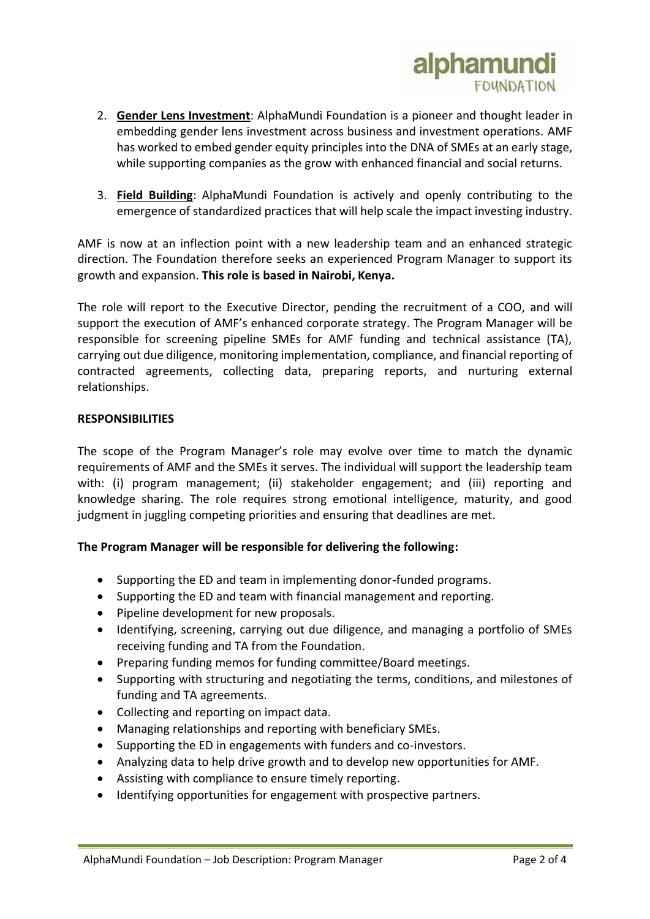

- 2. **Gender Lens Investment**: AlphaMundi Foundation is a pioneer and thought leader in embedding gender lens investment across business and investment operations. AMF has worked to embed gender equity principles into the DNA of SMEs at an early stage, while supporting companies as the grow with enhanced financial and social returns.
- 3. **Field Building**: AlphaMundi Foundation is actively and openly contributing to the emergence of standardized practices that will help scale the impact investing industry.

AMF is now at an inflection point with a new leadership team and an enhanced strategic direction. The Foundation therefore seeks an experienced Program Manager to support its growth and expansion. **This role is based in Nairobi, Kenya.**

The role will report to the Executive Director, pending the recruitment of a COO, and will support the execution of AMF's enhanced corporate strategy. The Program Manager will be responsible for screening pipeline SMEs for AMF funding and technical assistance (TA), carrying out due diligence, monitoring implementation, compliance, and financial reporting of contracted agreements, collecting data, preparing reports, and nurturing external relationships.

#### **RESPONSIBILITIES**

The scope of the Program Manager's role may evolve over time to match the dynamic requirements of AMF and the SMEs it serves. The individual will support the leadership team with: (i) program management; (ii) stakeholder engagement; and (iii) reporting and knowledge sharing. The role requires strong emotional intelligence, maturity, and good judgment in juggling competing priorities and ensuring that deadlines are met.

#### **The Program Manager will be responsible for delivering the following:**

- Supporting the ED and team in implementing donor-funded programs.
- Supporting the ED and team with financial management and reporting.
- Pipeline development for new proposals.
- Identifying, screening, carrying out due diligence, and managing a portfolio of SMEs receiving funding and TA from the Foundation.
- Preparing funding memos for funding committee/Board meetings.
- Supporting with structuring and negotiating the terms, conditions, and milestones of funding and TA agreements.
- Collecting and reporting on impact data.
- Managing relationships and reporting with beneficiary SMEs.
- Supporting the ED in engagements with funders and co-investors.
- Analyzing data to help drive growth and to develop new opportunities for AMF.
- Assisting with compliance to ensure timely reporting.
- Identifying opportunities for engagement with prospective partners.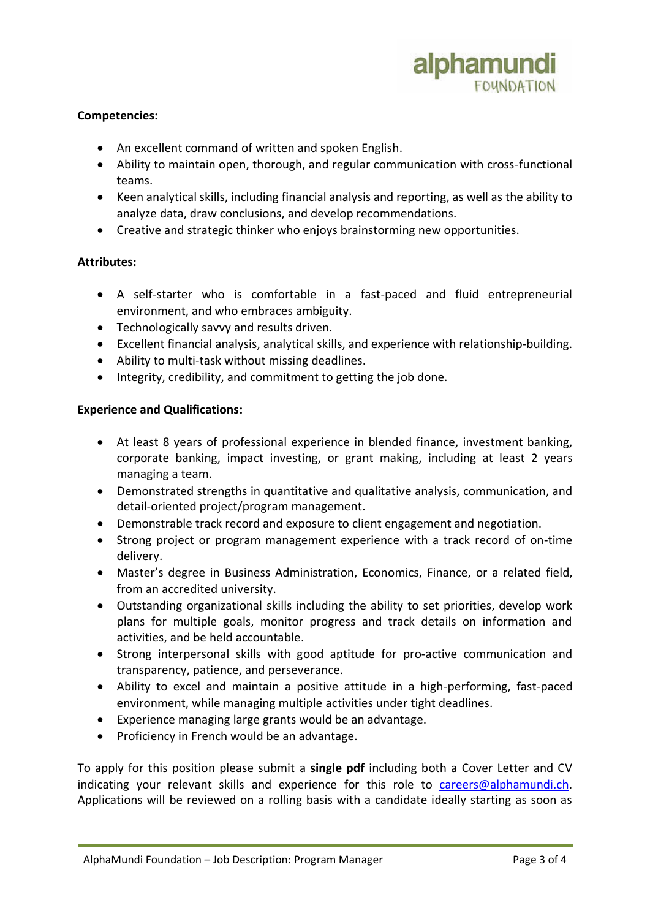

### **Competencies:**

- An excellent command of written and spoken English.
- Ability to maintain open, thorough, and regular communication with cross-functional teams.
- Keen analytical skills, including financial analysis and reporting, as well as the ability to analyze data, draw conclusions, and develop recommendations.
- Creative and strategic thinker who enjoys brainstorming new opportunities.

#### **Attributes:**

- A self-starter who is comfortable in a fast-paced and fluid entrepreneurial environment, and who embraces ambiguity.
- Technologically savvy and results driven.
- Excellent financial analysis, analytical skills, and experience with relationship-building.
- Ability to multi-task without missing deadlines.
- Integrity, credibility, and commitment to getting the job done.

#### **Experience and Qualifications:**

- At least 8 years of professional experience in blended finance, investment banking, corporate banking, impact investing, or grant making, including at least 2 years managing a team.
- Demonstrated strengths in quantitative and qualitative analysis, communication, and detail-oriented project/program management.
- Demonstrable track record and exposure to client engagement and negotiation.
- Strong project or program management experience with a track record of on-time delivery.
- Master's degree in Business Administration, Economics, Finance, or a related field, from an accredited university.
- Outstanding organizational skills including the ability to set priorities, develop work plans for multiple goals, monitor progress and track details on information and activities, and be held accountable.
- Strong interpersonal skills with good aptitude for pro-active communication and transparency, patience, and perseverance.
- Ability to excel and maintain a positive attitude in a high-performing, fast-paced environment, while managing multiple activities under tight deadlines.
- Experience managing large grants would be an advantage.
- Proficiency in French would be an advantage.

To apply for this position please submit a **single pdf** including both a Cover Letter and CV indicating your relevant skills and experience for this role to [careers@alphamundi.ch.](mailto:careers@alphamundi.ch) Applications will be reviewed on a rolling basis with a candidate ideally starting as soon as